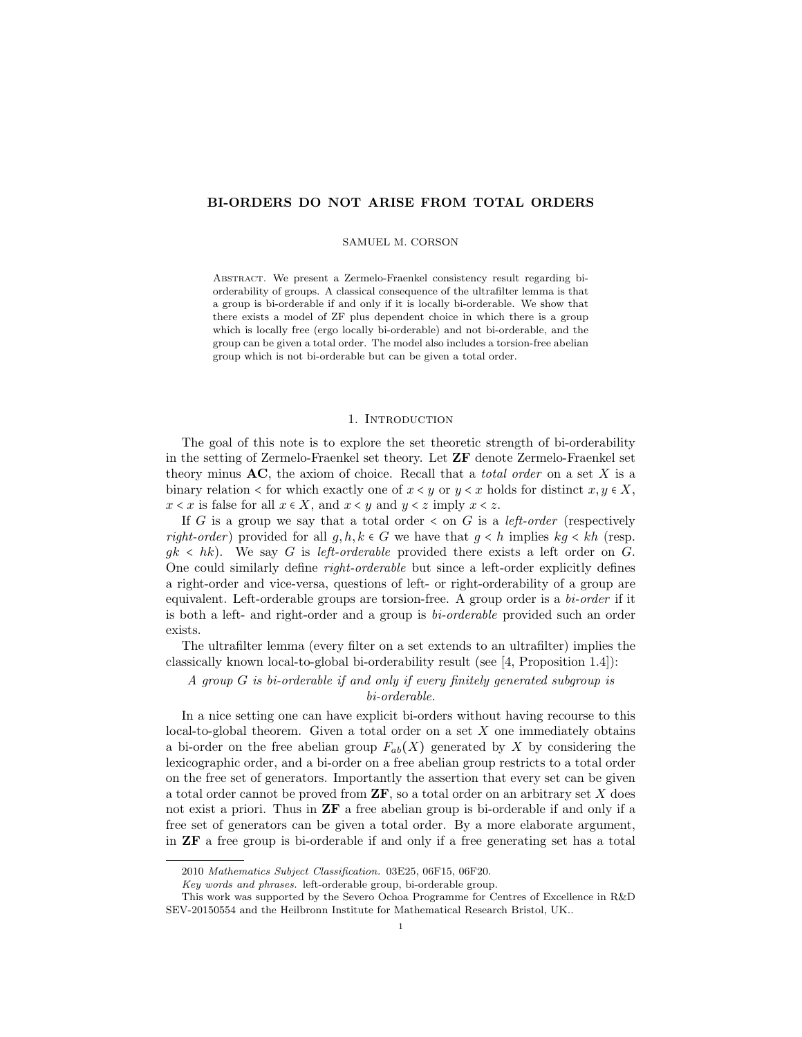# BI-ORDERS DO NOT ARISE FROM TOTAL ORDERS

#### SAMUEL M. CORSON

Abstract. We present a Zermelo-Fraenkel consistency result regarding biorderability of groups. A classical consequence of the ultrafilter lemma is that a group is bi-orderable if and only if it is locally bi-orderable. We show that there exists a model of ZF plus dependent choice in which there is a group which is locally free (ergo locally bi-orderable) and not bi-orderable, and the group can be given a total order. The model also includes a torsion-free abelian group which is not bi-orderable but can be given a total order.

#### 1. INTRODUCTION

The goal of this note is to explore the set theoretic strength of bi-orderability in the setting of Zermelo-Fraenkel set theory. Let ZF denote Zermelo-Fraenkel set theory minus  $AC$ , the axiom of choice. Recall that a *total order* on a set X is a binary relation < for which exactly one of  $x \leq y$  or  $y \leq x$  holds for distinct  $x, y \in X$ ,  $x < x$  is false for all  $x \in X$ , and  $x < y$  and  $y < z$  imply  $x < z$ .

If G is a group we say that a total order  $\lt$  on G is a *left-order* (respectively right-order) provided for all  $g, h, k \in G$  we have that  $g < h$  implies  $kg < kh$  (resp.  $g_k < hk$ ). We say G is left-orderable provided there exists a left order on G. One could similarly define right-orderable but since a left-order explicitly defines a right-order and vice-versa, questions of left- or right-orderability of a group are equivalent. Left-orderable groups are torsion-free. A group order is a bi-order if it is both a left- and right-order and a group is bi-orderable provided such an order exists.

The ultrafilter lemma (every filter on a set extends to an ultrafilter) implies the classically known local-to-global bi-orderability result (see [4, Proposition 1.4]):

A group G is bi-orderable if and only if every finitely generated subgroup is bi-orderable.

In a nice setting one can have explicit bi-orders without having recourse to this local-to-global theorem. Given a total order on a set  $X$  one immediately obtains a bi-order on the free abelian group  $F_{ab}(X)$  generated by X by considering the lexicographic order, and a bi-order on a free abelian group restricts to a total order on the free set of generators. Importantly the assertion that every set can be given a total order cannot be proved from  $\mathbf{ZF}$ , so a total order on an arbitrary set X does not exist a priori. Thus in ZF a free abelian group is bi-orderable if and only if a free set of generators can be given a total order. By a more elaborate argument, in ZF a free group is bi-orderable if and only if a free generating set has a total

<sup>2010</sup> Mathematics Subject Classification. 03E25, 06F15, 06F20.

Key words and phrases. left-orderable group, bi-orderable group.

This work was supported by the Severo Ochoa Programme for Centres of Excellence in R&D SEV-20150554 and the Heilbronn Institute for Mathematical Research Bristol, UK..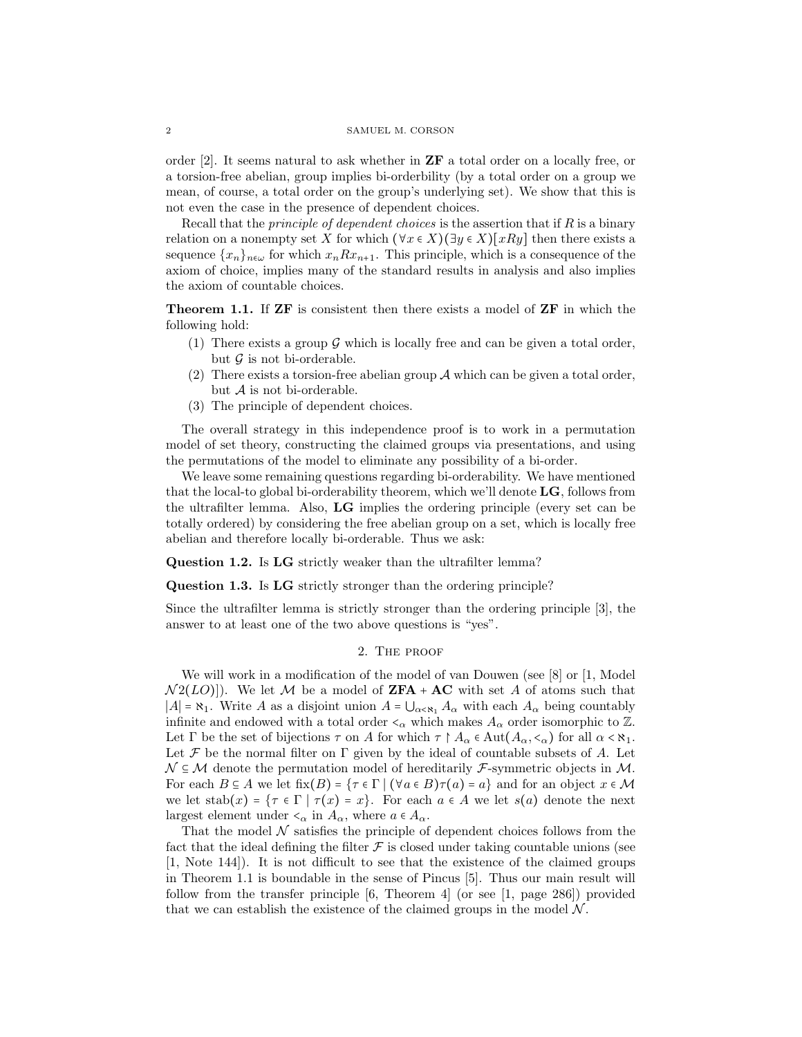order [2]. It seems natural to ask whether in ZF a total order on a locally free, or a torsion-free abelian, group implies bi-orderbility (by a total order on a group we mean, of course, a total order on the group's underlying set). We show that this is not even the case in the presence of dependent choices.

Recall that the *principle of dependent choices* is the assertion that if  $R$  is a binary relation on a nonempty set X for which  $(\forall x \in X)(\exists y \in X)[xRy]$  then there exists a sequence  $\{x_n\}_{n\in\omega}$  for which  $x_nRx_{n+1}$ . This principle, which is a consequence of the axiom of choice, implies many of the standard results in analysis and also implies the axiom of countable choices.

Theorem 1.1. If ZF is consistent then there exists a model of ZF in which the following hold:

- (1) There exists a group  $\mathcal G$  which is locally free and can be given a total order, but  $\mathcal G$  is not bi-orderable.
- (2) There exists a torsion-free abelian group  $A$  which can be given a total order, but  $A$  is not bi-orderable.
- (3) The principle of dependent choices.

The overall strategy in this independence proof is to work in a permutation model of set theory, constructing the claimed groups via presentations, and using the permutations of the model to eliminate any possibility of a bi-order.

We leave some remaining questions regarding bi-orderability. We have mentioned that the local-to global bi-orderability theorem, which we'll denote LG, follows from the ultrafilter lemma. Also, LG implies the ordering principle (every set can be totally ordered) by considering the free abelian group on a set, which is locally free abelian and therefore locally bi-orderable. Thus we ask:

Question 1.2. Is LG strictly weaker than the ultrafilter lemma?

Question 1.3. Is LG strictly stronger than the ordering principle?

Since the ultrafilter lemma is strictly stronger than the ordering principle [3], the answer to at least one of the two above questions is "yes".

## 2. The proof

We will work in a modification of the model of van Douwen (see [8] or [1, Model  $\mathcal{N}2(LO)|$ . We let M be a model of  $\mathbf{ZFA} + \mathbf{AC}$  with set A of atoms such that  $|A| = \aleph_1$ . Write A as a disjoint union  $A = \bigcup_{\alpha \leq \aleph_1} A_\alpha$  with each  $A_\alpha$  being countably infinite and endowed with a total order  $\lt_\alpha$  which makes  $A_\alpha$  order isomorphic to Z. Let  $\Gamma$  be the set of bijections  $\tau$  on A for which  $\tau \upharpoonright A_\alpha \in \text{Aut}(A_\alpha, \langle \cdot_\alpha \rangle)$  for all  $\alpha < \aleph_1$ . Let  $\mathcal F$  be the normal filter on  $\Gamma$  given by the ideal of countable subsets of A. Let  $\mathcal{N} \subseteq \mathcal{M}$  denote the permutation model of hereditarily *F*-symmetric objects in  $\mathcal{M}$ . For each  $B \subseteq A$  we let  $fix(B) = \{\tau \in \Gamma \mid (\forall a \in B) \tau(a) = a\}$  and for an object  $x \in \mathcal{M}$ we let stab $(x) = {\tau \in \Gamma | \tau(x) = x}$ . For each  $a \in A$  we let  $s(a)$  denote the next largest element under  $\lt_{\alpha}$  in  $A_{\alpha}$ , where  $a \in A_{\alpha}$ .

That the model  $N$  satisfies the principle of dependent choices follows from the fact that the ideal defining the filter  $\mathcal F$  is closed under taking countable unions (see [1, Note 144]). It is not difficult to see that the existence of the claimed groups in Theorem 1.1 is boundable in the sense of Pincus [5]. Thus our main result will follow from the transfer principle [6, Theorem 4] (or see [1, page 286]) provided that we can establish the existence of the claimed groups in the model  $\mathcal N$ .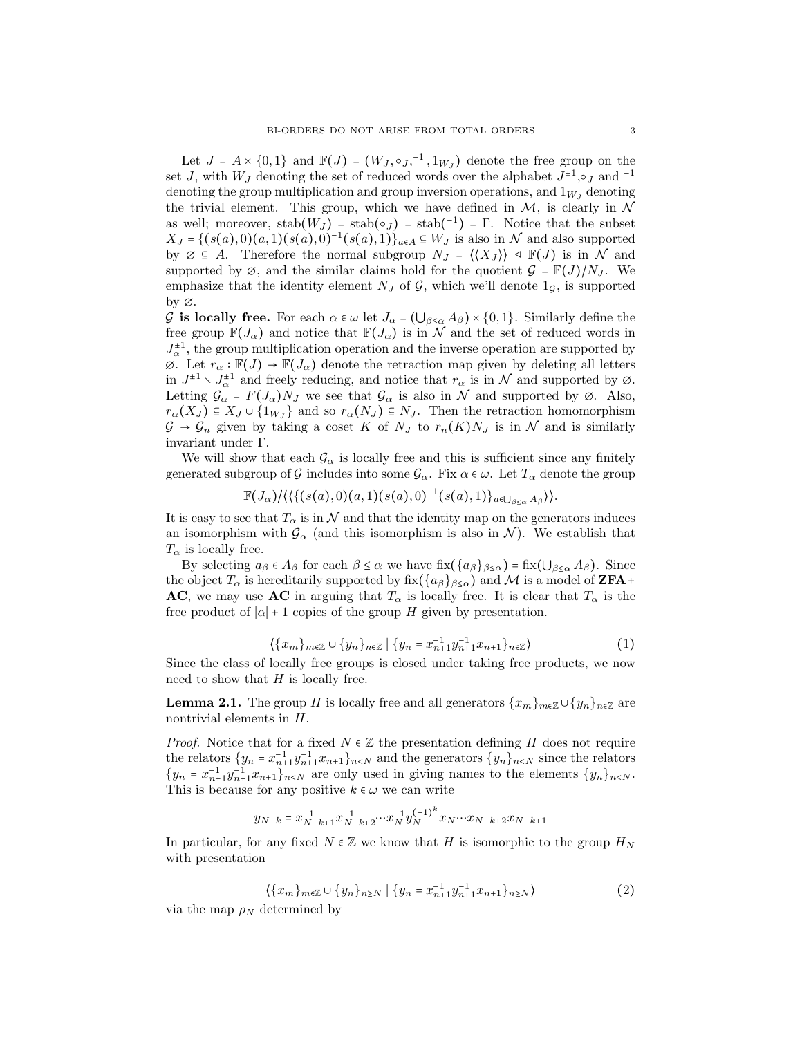Let  $J = A \times \{0,1\}$  and  $\mathbb{F}(J) = (W_J, \circ_J, ^{-1}, 1_{W_J})$  denote the free group on the set J, with  $W_J$  denoting the set of reduced words over the alphabet  $J^{\pm 1}$ ,  $\circ_J$  and  $^{-1}$ denoting the group multiplication and group inversion operations, and  $1_{W<sub>I</sub>}$  denoting the trivial element. This group, which we have defined in  $M$ , is clearly in  $N$ as well; moreover,  $stab(W_J) = stab(o_J) = stab^{-1}) = \Gamma$ . Notice that the subset  $X_J = \{(s(a), 0)(a, 1)(s(a), 0)^{-1}(s(a), 1)\}_{a \in A} \subseteq W_J$  is also in  $\mathcal N$  and also supported by  $\emptyset \subseteq A$ . Therefore the normal subgroup  $N_J = \langle \langle X_J \rangle \rangle \trianglelefteq \mathbb{F}(J)$  is in N and supported by  $\emptyset$ , and the similar claims hold for the quotient  $\mathcal{G} = \mathbb{F}(J)/N_J$ . We emphasize that the identity element  $N_J$  of  $\mathcal{G}$ , which we'll denote  $1_{\mathcal{G}}$ , is supported by ∅.

G is locally free. For each  $\alpha \in \omega$  let  $J_{\alpha} = (\bigcup_{\beta \leq \alpha} A_{\beta}) \times \{0,1\}$ . Similarly define the free group  $\mathbb{F}(J_\alpha)$  and notice that  $\mathbb{F}(J_\alpha)$  is in N and the set of reduced words in  $J_{\alpha}^{\pm 1}$ , the group multiplication operation and the inverse operation are supported by  $\emptyset$ . Let  $r_{\alpha} : \mathbb{F}(J) \to \mathbb{F}(J_{\alpha})$  denote the retraction map given by deleting all letters in  $J^{\pm 1} \setminus J_{\alpha}^{\pm 1}$  and freely reducing, and notice that  $r_{\alpha}$  is in N and supported by  $\emptyset$ . Letting  $\mathcal{G}_{\alpha} = F(J_{\alpha})N_J$  we see that  $\mathcal{G}_{\alpha}$  is also in N and supported by  $\varnothing$ . Also,  $r_{\alpha}(X_J) \subseteq X_J \cup \{1_{W_J}\}\$ and so  $r_{\alpha}(N_J) \subseteq N_J$ . Then the retraction homomorphism  $\mathcal{G} \to \mathcal{G}_n$  given by taking a coset K of  $N_J$  to  $r_n(K)N_J$  is in N and is similarly invariant under Γ.

We will show that each  $\mathcal{G}_{\alpha}$  is locally free and this is sufficient since any finitely generated subgroup of G includes into some  $\mathcal{G}_{\alpha}$ . Fix  $\alpha \in \omega$ . Let  $T_{\alpha}$  denote the group

$$
\mathbb{F}(J_{\alpha})/ \langle \langle \{ (s(a),0)(a,1)(s(a),0)^{-1}(s(a),1) \}_{a \in \bigcup_{\beta \leq \alpha} A_{\beta}} \rangle \rangle.
$$

It is easy to see that  $T_{\alpha}$  is in N and that the identity map on the generators induces an isomorphism with  $\mathcal{G}_{\alpha}$  (and this isomorphism is also in N). We establish that  $T_{\alpha}$  is locally free.

By selecting  $a_{\beta} \in A_{\beta}$  for each  $\beta \leq \alpha$  we have  $fix(\{a_{\beta}\}_{\beta \leq \alpha}) = fix(\bigcup_{\beta \leq \alpha} A_{\beta})$ . Since the object  $T_{\alpha}$  is hereditarily supported by fix( $\{a_{\beta}\}_{\beta \leq \alpha}$ ) and M is a model of **ZFA**+ AC, we may use AC in arguing that  $T_{\alpha}$  is locally free. It is clear that  $T_{\alpha}$  is the free product of  $|\alpha| + 1$  copies of the group H given by presentation.

$$
\langle \{x_m\}_{m \in \mathbb{Z}} \cup \{y_n\}_{n \in \mathbb{Z}} \mid \{y_n = x_{n+1}^{-1} y_{n+1}^{-1} x_{n+1}\}_{n \in \mathbb{Z}} \rangle \tag{1}
$$

Since the class of locally free groups is closed under taking free products, we now need to show that  $H$  is locally free.

**Lemma 2.1.** The group H is locally free and all generators  $\{x_m\}_{m\in\mathbb{Z}}\cup\{y_n\}_{n\in\mathbb{Z}}$  are nontrivial elements in H.

*Proof.* Notice that for a fixed  $N \in \mathbb{Z}$  the presentation defining H does not require the relators  $\{y_n = x_{n+1}^{-1} y_{n+1}^{-1} x_{n+1}\}_{n \lt N}$  and the generators  $\{y_n\}_{n \lt N}$  since the relators  ${y_n = x_{n+1}^{-1}y_{n+1}^{-1}x_{n+1}}_{n \lt N}$  are only used in giving names to the elements  ${y_n}_{n \lt N}$ . This is because for any positive  $k \in \omega$  we can write

$$
y_{N-k} = x_{N-k+1}^{-1} x_{N-k+2}^{-1} \cdots x_N^{-1} y_N^{(-1)^k} x_N \cdots x_{N-k+2} x_{N-k+1}
$$

In particular, for any fixed  $N \in \mathbb{Z}$  we know that H is isomorphic to the group  $H_N$ with presentation

$$
\left\langle \{x_m\}_{m\in\mathbb{Z}} \cup \{y_n\}_{n\geq N} \mid \{y_n = x_{n+1}^{-1} y_{n+1}^{-1} x_{n+1}\}_{n\geq N} \right\rangle \tag{2}
$$

via the map  $\rho_N$  determined by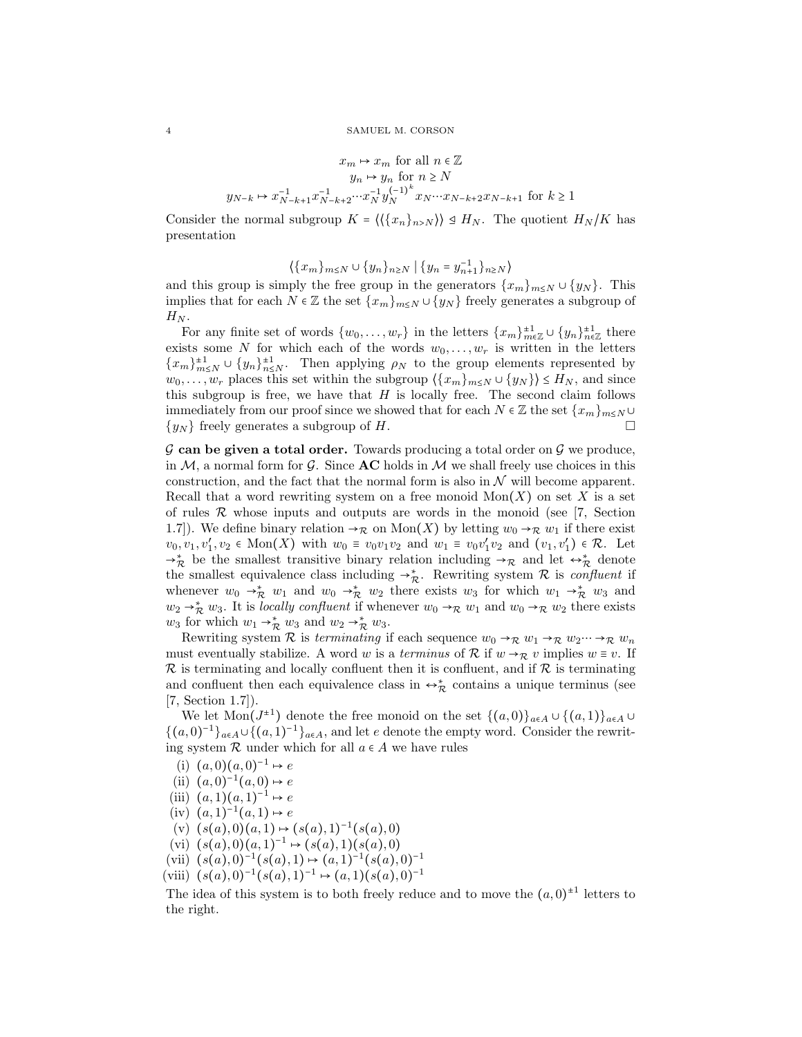$$
x_m \mapsto x_m \text{ for all } n \in \mathbb{Z}
$$

$$
y_n \mapsto y_n \text{ for } n \ge N
$$

$$
y_{N-k} \mapsto x_{N-k+1}^{-1} x_{N-k+2}^{-1} \cdots x_N^{-1} y_N^{(-1)^k} x_N \cdots x_{N-k+2} x_{N-k+1} \text{ for } k \ge 1
$$

Consider the normal subgroup  $K = \langle \langle \{x_n\}_{n>N} \rangle \rangle \trianglelefteq H_N$ . The quotient  $H_N/K$  has presentation

$$
\langle \{x_m\}_{m\le N}\cup \{y_n\}_{n\ge N}\mid \{y_n=y_{n+1}^{-1}\}_{n\ge N}\rangle
$$

and this group is simply the free group in the generators  $\{x_m\}_{m\leq N} \cup \{y_N\}$ . This implies that for each  $N \in \mathbb{Z}$  the set  $\{x_m\}_{m \leq N} \cup \{y_N\}$  freely generates a subgroup of  $H_N$ .

For any finite set of words  $\{w_0, \ldots, w_r\}$  in the letters  $\{x_m\}_{m\in\mathbb{Z}}^{\pm 1} \cup \{y_n\}_{n\in\mathbb{Z}}^{\pm 1}$  there exists some N for which each of the words  $w_0, \ldots, w_r$  is written in the letters  ${x_m}_{m\leq N}^{\pm 1} \cup {y_n}_{n\leq N}^{\pm 1}$ . Then applying  $\rho_N$  to the group elements represented by  $w_0, \ldots, w_r$  places this set within the subgroup  $\langle \{x_m\}_{m\leq N} \cup \{y_N\} \rangle \leq H_N$ , and since this subgroup is free, we have that  $H$  is locally free. The second claim follows immediately from our proof since we showed that for each  $N \in \mathbb{Z}$  the set  $\{x_m\}_{m \leq N}$  $\{y_N\}$  freely generates a subgroup of H.

 $\mathcal G$  can be given a total order. Towards producing a total order on  $\mathcal G$  we produce, in M, a normal form for G. Since **AC** holds in M we shall freely use choices in this construction, and the fact that the normal form is also in  $\mathcal N$  will become apparent. Recall that a word rewriting system on a free monoid  $Mon(X)$  on set X is a set of rules  $R$  whose inputs and outputs are words in the monoid (see [7, Section 1.7). We define binary relation  $\rightarrow_{\mathcal{R}}$  on  $\text{Mon}(X)$  by letting  $w_0 \rightarrow_{\mathcal{R}} w_1$  if there exist  $v_0, v_1, v'_1, v_2 \in \text{Mon}(X)$  with  $w_0 \equiv v_0v_1v_2$  and  $w_1 \equiv v_0v'_1v_2$  and  $(v_1, v'_1) \in \mathcal{R}$ . Let  $\rightarrow_{\mathcal{R}}^*$  be the smallest transitive binary relation including  $\rightarrow_{\mathcal{R}}$  and let  $\leftrightarrow_{\mathcal{R}}^*$  denote the smallest equivalence class including  $\rightarrow_{\mathcal{R}}^*$ . Rewriting system R is *confluent* if whenever  $w_0 \to_{\mathcal{R}}^* w_1$  and  $w_0 \to_{\mathcal{R}}^* w_2$  there exists  $w_3$  for which  $w_1 \to_{\mathcal{R}}^* w_3$  and  $w_2 \rightarrow_{\mathcal{R}}^* w_3$ . It is *locally confluent* if whenever  $w_0 \rightarrow_{\mathcal{R}} w_1$  and  $w_0 \rightarrow_{\mathcal{R}} w_2$  there exists  $w_3$  for which  $w_1 \rightarrow_{\mathcal{R}}^* w_3$  and  $w_2 \rightarrow_{\mathcal{R}}^* w_3$ .

Rewriting system R is terminating if each sequence  $w_0 \rightarrow_R w_1 \rightarrow_R w_2 \cdots \rightarrow_R w_n$ must eventually stabilize. A word w is a terminus of R if  $w \rightarrow_R v$  implies  $w \equiv v$ . If  $\mathcal R$  is terminating and locally confluent then it is confluent, and if  $\mathcal R$  is terminating and confluent then each equivalence class in  $\leftrightarrow_{\mathcal{R}}^*$  contains a unique terminus (see [7, Section 1.7]).

We let  $\text{Mon}(J^{\pm 1})$  denote the free monoid on the set  $\{(a,0)\}_{a\in A}\cup \{(a,1)\}_{a\in A}\cup$  $\{(a,0)^{-1}\}_{a\in A}\cup\{(a,1)^{-1}\}_{a\in A}$ , and let e denote the empty word. Consider the rewriting system  $\mathcal R$  under which for all  $a \in A$  we have rules

- (i)  $(a,0)(a,0)^{-1} \mapsto e$
- (ii)  $(a,0)^{-1}(a,0) \mapsto e$
- (iii)  $(a, 1)(a, 1)^{-1} \mapsto e$
- $(iv)$   $(a, 1)^{-1}(a, 1) \mapsto e$
- $(v)$   $(s(a),0)(a,1) \mapsto (s(a),1)^{-1}(s(a),0)$
- (vi)  $(s(a),0)(a,1)^{-1} \mapsto (s(a),1)(s(a),0)$
- (vii)  $(s(a), 0)^{-1}(s(a), 1) \mapsto (a, 1)^{-1}(s(a), 0)^{-1}$
- (viii)  $(s(a), 0)^{-1}(s(a), 1)^{-1} \mapsto (a, 1)(s(a), 0)^{-1}$

The idea of this system is to both freely reduce and to move the  $(a,0)^{\pm 1}$  letters to the right.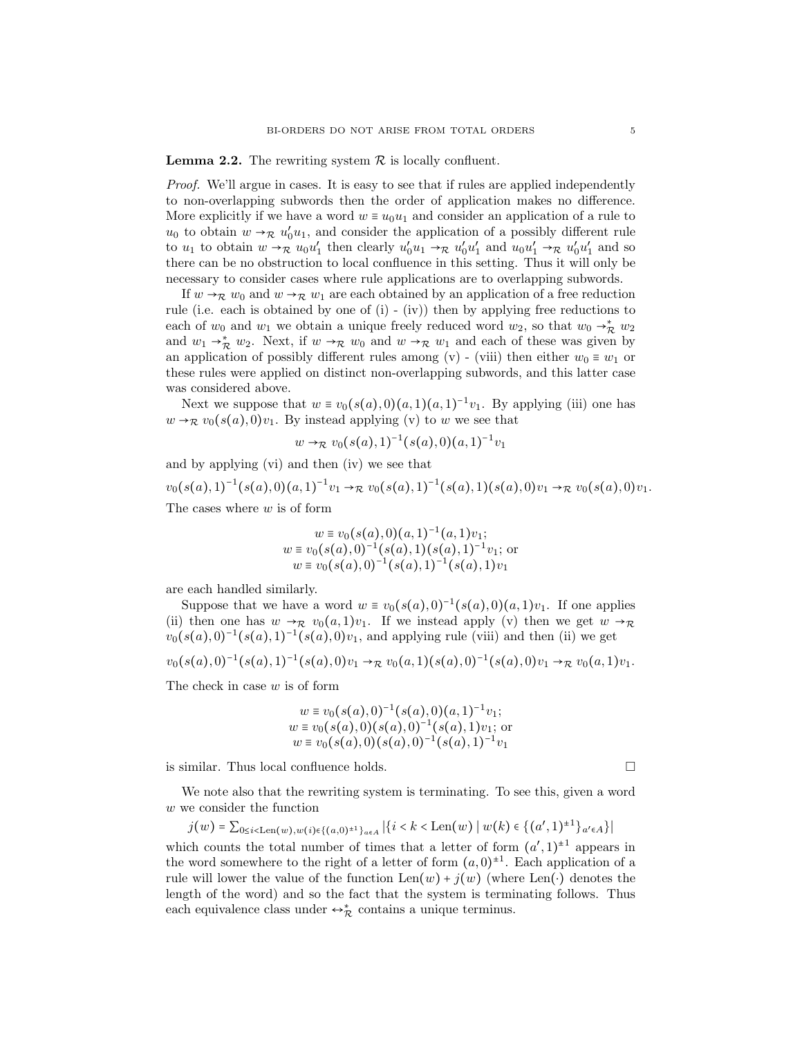**Lemma 2.2.** The rewriting system  $\mathcal{R}$  is locally confluent.

*Proof.* We'll argue in cases. It is easy to see that if rules are applied independently to non-overlapping subwords then the order of application makes no difference. More explicitly if we have a word  $w \equiv u_0 u_1$  and consider an application of a rule to  $u_0$  to obtain  $w \rightarrow_{\mathcal{R}} u'_0 u_1$ , and consider the application of a possibly different rule to  $u_1$  to obtain  $w \to \mathcal{R}$   $u_0 u_1'$  then clearly  $u_0' u_1 \to \mathcal{R}$   $u_0' u_1'$  and  $u_0 u_1' \to \mathcal{R}$   $u_0' u_1'$  and so there can be no obstruction to local confluence in this setting. Thus it will only be necessary to consider cases where rule applications are to overlapping subwords.

If  $w \rightarrow_{\mathcal{R}} w_0$  and  $w \rightarrow_{\mathcal{R}} w_1$  are each obtained by an application of a free reduction rule (i.e. each is obtained by one of (i) - (iv)) then by applying free reductions to each of  $w_0$  and  $w_1$  we obtain a unique freely reduced word  $w_2$ , so that  $w_0 \rightarrow_{\mathcal{R}}^* w_2$ and  $w_1 \rightarrow_{\mathcal{R}}^* w_2$ . Next, if  $w \rightarrow_{\mathcal{R}} w_0$  and  $w \rightarrow_{\mathcal{R}} w_1$  and each of these was given by an application of possibly different rules among (v) - (viii) then either  $w_0 \equiv w_1$  or these rules were applied on distinct non-overlapping subwords, and this latter case was considered above.

Next we suppose that  $w \equiv v_0(s(a),0)(a,1)(a,1)^{-1}v_1$ . By applying (iii) one has  $w \rightarrow_{\mathcal{R}} v_0(s(a), 0)v_1$ . By instead applying (v) to w we see that

$$
w \rightarrow_{\mathcal{R}} v_0(s(a),1)^{-1}(s(a),0)(a,1)^{-1}v_1
$$

and by applying (vi) and then (iv) we see that  $v_0(s(a), 1)^{-1}(s(a), 0)(a, 1)^{-1}v_1 \rightarrow_{\mathcal{R}} v_0(s(a), 1)^{-1}(s(a), 1)(s(a), 0)v_1 \rightarrow_{\mathcal{R}} v_0(s(a), 0)v_1.$ The cases where  $w$  is of form

$$
w \equiv v_0(s(a), 0)(a, 1)^{-1}(a, 1)v_1;
$$
  
\n
$$
w \equiv v_0(s(a), 0)^{-1}(s(a), 1)(s(a), 1)^{-1}v_1;
$$
 or  
\n
$$
w \equiv v_0(s(a), 0)^{-1}(s(a), 1)^{-1}(s(a), 1)v_1
$$

are each handled similarly.

Suppose that we have a word  $w \equiv v_0(s(a), 0)^{-1}(s(a), 0)(a, 1)v_1$ . If one applies (ii) then one has  $w \to_R v_0(a, 1)v_1$ . If we instead apply (v) then we get  $w \to_R$  $v_0(s(a), 0)^{-1}(s(a), 1)^{-1}(s(a), 0)v_1$ , and applying rule (viii) and then (ii) we get

$$
v_0(s(a),0)^{-1}(s(a),1)^{-1}(s(a),0)v_1 \to_{\mathcal{R}} v_0(a,1)(s(a),0)^{-1}(s(a),0)v_1 \to_{\mathcal{R}} v_0(a,1)v_1.
$$

The check in case  $w$  is of form

$$
w \equiv v_0(s(a), 0)^{-1}(s(a), 0)(a, 1)^{-1}v_1;
$$
  
\n
$$
w \equiv v_0(s(a), 0)(s(a), 0)^{-1}(s(a), 1)v_1;
$$
 or  
\n
$$
w \equiv v_0(s(a), 0)(s(a), 0)^{-1}(s(a), 1)^{-1}v_1
$$

is similar. Thus local confluence holds.

We note also that the rewriting system is terminating. To see this, given a word w we consider the function

$$
j(w) = \sum_{0 \le i < \text{Len}(w), w(i) \in \{(a, 0)^{\pm 1}\} \cap \{a \in A \mid \{(i < k < \text{Len}(w) \mid w(k) \in \{(a', 1)^{\pm 1}\} \cap \{a \in A\}\}
$$

which counts the total number of times that a letter of form  $(a', 1)^{\pm 1}$  appears in the word somewhere to the right of a letter of form  $(a,0)^{\pm 1}$ . Each application of a rule will lower the value of the function  $\text{Len}(w) + j(w)$  (where  $\text{Len}(\cdot)$  denotes the length of the word) and so the fact that the system is terminating follows. Thus each equivalence class under  $\leftrightarrow^*_\mathcal{R}$  contains a unique terminus.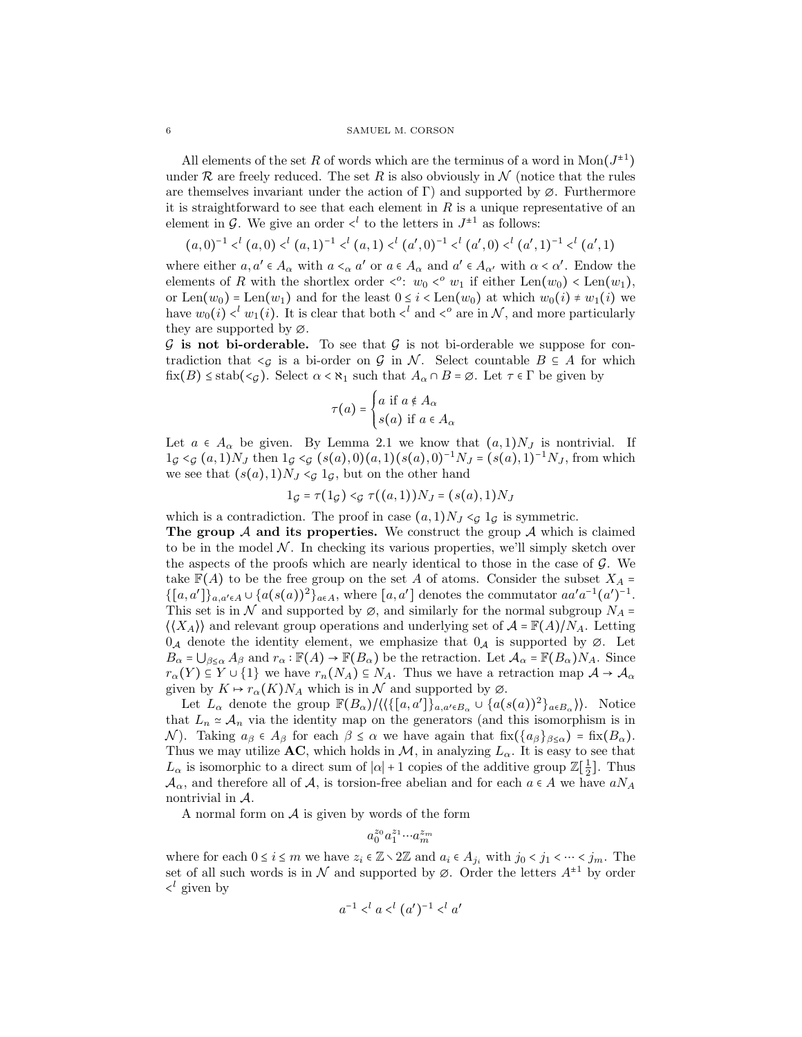#### 6 SAMUEL M. CORSON

All elements of the set R of words which are the terminus of a word in  $Mon(J^{\pm 1})$ under R are freely reduced. The set R is also obviously in  $\mathcal N$  (notice that the rules are themselves invariant under the action of Γ) and supported by  $\varnothing$ . Furthermore it is straightforward to see that each element in  $R$  is a unique representative of an element in  $\mathcal{G}$ . We give an order  $\langle^{l}$  to the letters in  $J^{\pm 1}$  as follows:

 $(a,0)^{-1} <^l (a,0) <^l (a,1)^{-1} <^l (a,1) <^l (a',0)^{-1} <^l (a',0) <^l (a',1)^{-1} <^l (a',1)$ 

where either  $a, a' \in A_{\alpha}$  with  $a \leq_{\alpha} a'$  or  $a \in A_{\alpha}$  and  $a' \in A_{\alpha'}$  with  $\alpha \leq \alpha'$ . Endow the elements of R with the shortlex order  $\langle e^c : w_0 \rangle \langle w_1 \rangle$  if either Len $(w_0) \langle \text{Len}(w_1), \rangle$ or Len $(w_0)$  = Len $(w_1)$  and for the least  $0 \leq i <$  Len $(w_0)$  at which  $w_0(i) \neq w_1(i)$  we have  $w_0(i) \leq v_1(i)$ . It is clear that both  $\leq^l$  and  $\leq^o$  are in N, and more particularly they are supported by ∅.

 $\mathcal G$  is not bi-orderable. To see that  $\mathcal G$  is not bi-orderable we suppose for contradiction that  $\leq g$  is a bi-order on G in N. Select countable  $B \subseteq A$  for which  $fix(B) \leq stab(<sub>G</sub>)$ . Select  $\alpha < \aleph_1$  such that  $A_{\alpha} \cap B = \emptyset$ . Let  $\tau \in \Gamma$  be given by

$$
\tau(a) = \begin{cases} a \text{ if } a \notin A_{\alpha} \\ s(a) \text{ if } a \in A_{\alpha} \end{cases}
$$

Let  $a \in A_{\alpha}$  be given. By Lemma 2.1 we know that  $(a, 1)N_J$  is nontrivial. If  $1_G \leq G$   $(a, 1)N_J$  then  $1_G \leq G$   $(s(a), 0)(a, 1)(s(a), 0)^{-1}N_J = (s(a), 1)^{-1}N_J$ , from which we see that  $(s(a), 1)N_J \leq g 1_G$ , but on the other hand

$$
1_{\mathcal{G}} = \tau(1_{\mathcal{G}}) <_{\mathcal{G}} \tau((a,1))N_J = (s(a),1)N_J
$$

which is a contradiction. The proof in case  $(a, 1)N_J \leq c_1 a_G$  is symmetric. The group  $A$  and its properties. We construct the group  $A$  which is claimed to be in the model  $N$ . In checking its various properties, we'll simply sketch over the aspects of the proofs which are nearly identical to those in the case of  $\mathcal{G}$ . We take  $\mathbb{F}(A)$  to be the free group on the set A of atoms. Consider the subset  $X_A =$  $\{[a,a']\}_{a,a'\in A}\cup \{a(s(a))^2\}_{a\in A}$ , where  $[a,a']$  denotes the commutator  $aa'a^{-1}(a')^{-1}$ . This set is in N and supported by  $\varnothing$ , and similarly for the normal subgroup  $N_A$  =  $\langle \langle X_A \rangle \rangle$  and relevant group operations and underlying set of  $\mathcal{A} = \mathbb{F}(A)/N_A$ . Letting  $0_A$  denote the identity element, we emphasize that  $0_A$  is supported by  $\emptyset$ . Let  $B_{\alpha} = \bigcup_{\beta \leq \alpha} A_{\beta}$  and  $r_{\alpha} : \mathbb{F}(A) \to \mathbb{F}(B_{\alpha})$  be the retraction. Let  $\mathcal{A}_{\alpha} = \mathbb{F}(B_{\alpha})N_A$ . Since

given by  $K \mapsto r_{\alpha}(K)N_A$  which is in  $\mathcal N$  and supported by  $\varnothing$ . Let  $L_{\alpha}$  denote the group  $\mathbb{F}(B_{\alpha})/\langle\langle\{[a,a']\}_{a,a'\in B_{\alpha}}\cup\{a(s(a))^2\}_{a\in B_{\alpha}}\rangle\rangle$ . Notice that  $L_n \simeq A_n$  via the identity map on the generators (and this isomorphism is in N). Taking  $a_{\beta} \in A_{\beta}$  for each  $\beta \leq \alpha$  we have again that fix( $\{a_{\beta}\}_{\beta \leq \alpha}$ ) = fix( $B_{\alpha}$ ). Thus we may utilize AC, which holds in  $\mathcal{M}$ , in analyzing  $L_{\alpha}$ . It is easy to see that  $L_{\alpha}$  is isomorphic to a direct sum of  $|\alpha|+1$  copies of the additive group  $\mathbb{Z}[\frac{1}{2}]$ . Thus  $\mathcal{A}_{\alpha}$ , and therefore all of  $\mathcal{A}_{\alpha}$ , is torsion-free abelian and for each  $a \in A$  we have  $aN_A$ nontrivial in A.

 $r_{\alpha}(Y) \subseteq Y \cup \{1\}$  we have  $r_n(N_A) \subseteq N_A$ . Thus we have a retraction map  $\mathcal{A} \to \mathcal{A}_{\alpha}$ 

A normal form on  $A$  is given by words of the form

$$
a_0^{z_0}a_1^{z_1}\!\cdots\! a_m^{z_m}
$$

where for each  $0 \le i \le m$  we have  $z_i \in \mathbb{Z} \setminus 2\mathbb{Z}$  and  $a_i \in A_{j_i}$  with  $j_0 < j_1 < \cdots < j_m$ . The set of all such words is in N and supported by  $\emptyset$ . Order the letters  $A^{\pm 1}$  by order  $\langle \cdot \rangle$  given by

$$
a^{-1} <^l a <^l (a')^{-1} <^l a'
$$